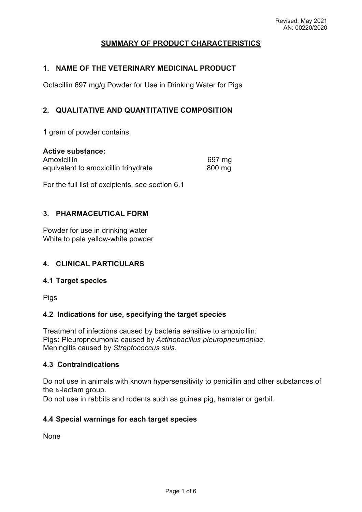# **SUMMARY OF PRODUCT CHARACTERISTICS**

### **1. NAME OF THE VETERINARY MEDICINAL PRODUCT**

Octacillin 697 mg/g Powder for Use in Drinking Water for Pigs

# **2. QUALITATIVE AND QUANTITATIVE COMPOSITION**

1 gram of powder contains:

#### **Active substance:**

| Amoxicillin                          | 697 mg |
|--------------------------------------|--------|
| equivalent to amoxicillin trihydrate | 800 mg |

For the full list of excipients, see section 6.1

# **3. PHARMACEUTICAL FORM**

Powder for use in drinking water White to pale yellow-white powder

# **4. CLINICAL PARTICULARS**

#### **4.1 Target species**

Pigs

# **4.2 Indications for use, specifying the target species**

Treatment of infections caused by bacteria sensitive to amoxicillin: Pigs**:** Pleuropneumonia caused by *Actinobacillus pleuropneumoniae,* Meningitis caused by *Streptococcus suis.*

#### **4.3 Contraindications**

Do not use in animals with known hypersensitivity to penicillin and other substances of the ß-lactam group.

Do not use in rabbits and rodents such as guinea pig, hamster or gerbil.

# **4.4 Special warnings for each target species**

None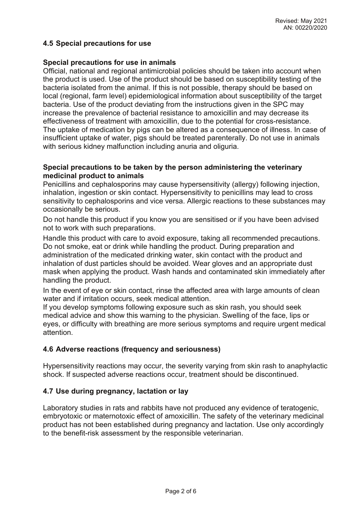# **4.5 Special precautions for use**

### **Special precautions for use in animals**

Official, national and regional antimicrobial policies should be taken into account when the product is used. Use of the product should be based on susceptibility testing of the bacteria isolated from the animal. If this is not possible, therapy should be based on local (regional, farm level) epidemiological information about susceptibility of the target bacteria. Use of the product deviating from the instructions given in the SPC may increase the prevalence of bacterial resistance to amoxicillin and may decrease its effectiveness of treatment with amoxicillin, due to the potential for cross-resistance. The uptake of medication by pigs can be altered as a consequence of illness. In case of insufficient uptake of water, pigs should be treated parenterally. Do not use in animals with serious kidney malfunction including anuria and oliguria.

### **Special precautions to be taken by the person administering the veterinary medicinal product to animals**

Penicillins and cephalosporins may cause hypersensitivity (allergy) following injection, inhalation, ingestion or skin contact. Hypersensitivity to penicillins may lead to cross sensitivity to cephalosporins and vice versa. Allergic reactions to these substances may occasionally be serious.

Do not handle this product if you know you are sensitised or if you have been advised not to work with such preparations.

Handle this product with care to avoid exposure, taking all recommended precautions. Do not smoke, eat or drink while handling the product. During preparation and administration of the medicated drinking water, skin contact with the product and inhalation of dust particles should be avoided. Wear gloves and an appropriate dust mask when applying the product. Wash hands and contaminated skin immediately after handling the product.

In the event of eye or skin contact, rinse the affected area with large amounts of clean water and if irritation occurs, seek medical attention.

If you develop symptoms following exposure such as skin rash, you should seek medical advice and show this warning to the physician. Swelling of the face, lips or eyes, or difficulty with breathing are more serious symptoms and require urgent medical attention.

# **4.6 Adverse reactions (frequency and seriousness)**

Hypersensitivity reactions may occur, the severity varying from skin rash to anaphylactic shock. If suspected adverse reactions occur, treatment should be discontinued.

# **4.7 Use during pregnancy, lactation or lay**

Laboratory studies in rats and rabbits have not produced any evidence of teratogenic, embryotoxic or maternotoxic effect of amoxicillin. The safety of the veterinary medicinal product has not been established during pregnancy and lactation. Use only accordingly to the benefit-risk assessment by the responsible veterinarian.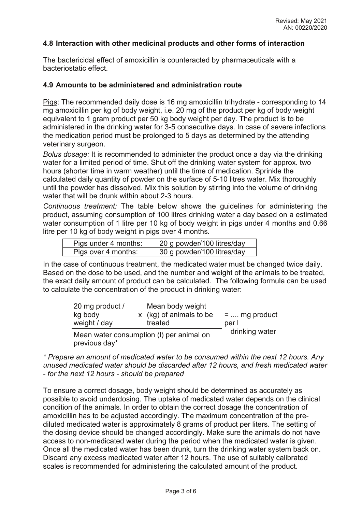# **4.8 Interaction with other medicinal products and other forms of interaction**

The bactericidal effect of amoxicillin is counteracted by pharmaceuticals with a bacteriostatic effect.

#### **4.9 Amounts to be administered and administration route**

Pigs: The recommended daily dose is 16 mg amoxicillin trihydrate - corresponding to 14 mg amoxicillin per kg of body weight, i.e. 20 mg of the product per kg of body weight equivalent to 1 gram product per 50 kg body weight per day. The product is to be administered in the drinking water for 3-5 consecutive days. In case of severe infections the medication period must be prolonged to 5 days as determined by the attending veterinary surgeon.

*Bolus dosage:* It is recommended to administer the product once a day via the drinking water for a limited period of time. Shut off the drinking water system for approx. two hours (shorter time in warm weather) until the time of medication. Sprinkle the calculated daily quantity of powder on the surface of 5-10 litres water. Mix thoroughly until the powder has dissolved. Mix this solution by stirring into the volume of drinking water that will be drunk within about 2-3 hours.

*Continuous treatment:* The table below shows the guidelines for administering the product, assuming consumption of 100 litres drinking water a day based on a estimated water consumption of 1 litre per 10 kg of body weight in pigs under 4 months and 0.66 litre per 10 kg of body weight in pigs over 4 months*.*

| Pigs under 4 months: | 20 g powder/100 litres/day |
|----------------------|----------------------------|
| Pigs over 4 months:  | 30 g powder/100 litres/day |

In the case of continuous treatment, the medicated water must be changed twice daily. Based on the dose to be used, and the number and weight of the animals to be treated, the exact daily amount of product can be calculated. The following formula can be used to calculate the concentration of the product in drinking water:

| 20 mg product / | Mean body weight                                                                                                                                                                                                                 |                |
|-----------------|----------------------------------------------------------------------------------------------------------------------------------------------------------------------------------------------------------------------------------|----------------|
| kg body         | x (kg) of animals to be                                                                                                                                                                                                          | $=$ mg product |
| weight / day    | treated                                                                                                                                                                                                                          | per l          |
|                 | $\mathbf{M}$ , and the set of the set of the set of the set of the set of the set of the set of the set of the set of the set of the set of the set of the set of the set of the set of the set of the set of the set of the set | drinking water |

Mean water consumption (I) per animal on previous day\*

*\* Prepare an amount of medicated water to be consumed within the next 12 hours. Any unused medicated water should be discarded after 12 hours, and fresh medicated water - for the next 12 hours - should be prepared* 

To ensure a correct dosage, body weight should be determined as accurately as possible to avoid underdosing. The uptake of medicated water depends on the clinical condition of the animals. In order to obtain the correct dosage the concentration of amoxicillin has to be adjusted accordingly. The maximum concentration of the prediluted medicated water is approximately 8 grams of product per liters. The setting of the dosing device should be changed accordingly. Make sure the animals do not have access to non-medicated water during the period when the medicated water is given. Once all the medicated water has been drunk, turn the drinking water system back on. Discard any excess medicated water after 12 hours. The use of suitably calibrated scales is recommended for administering the calculated amount of the product.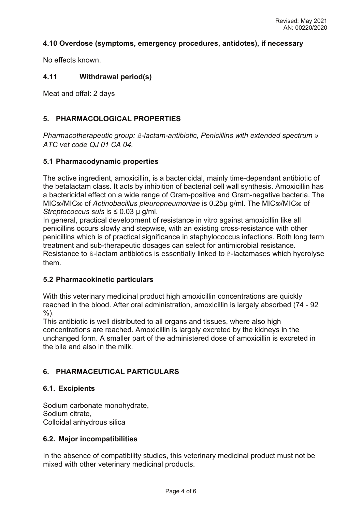# **4.10 Overdose (symptoms, emergency procedures, antidotes), if necessary**

No effects known.

# **4.11 Withdrawal period(s)**

Meat and offal: 2 days

# **5. PHARMACOLOGICAL PROPERTIES**

*Pharmacotherapeutic group: ß-lactam-antibiotic, Penicillins with extended spectrum » ATC vet code QJ 01 CA 04.*

# **5.1 Pharmacodynamic properties**

The active ingredient, amoxicillin, is a bactericidal, mainly time-dependant antibiotic of the betalactam class. It acts by inhibition of bacterial cell wall synthesis. Amoxicillin has a bactericidal effect on a wide range of Gram-positive and Gram-negative bacteria. The MIC50/MIC90 of *Actinobacillus pleuropneumoniae* is 0.25μ g/ml. The MIC50/MIC90 of *Streptococcus suis* is ≤ 0.03 μ g/ml.

In general, practical development of resistance in vitro against amoxicillin like all penicillins occurs slowly and stepwise, with an existing cross-resistance with other penicillins which is of practical significance in staphylococcus infections. Both long term treatment and sub-therapeutic dosages can select for antimicrobial resistance. Resistance to ß-lactam antibiotics is essentially linked to ß-lactamases which hydrolyse them.

# **5.2 Pharmacokinetic particulars**

With this veterinary medicinal product high amoxicillin concentrations are quickly reached in the blood. After oral administration, amoxicillin is largely absorbed (74 - 92 %).

This antibiotic is well distributed to all organs and tissues, where also high concentrations are reached. Amoxicillin is largely excreted by the kidneys in the unchanged form. A smaller part of the administered dose of amoxicillin is excreted in the bile and also in the milk.

# **6. PHARMACEUTICAL PARTICULARS**

# **6.1. Excipients**

Sodium carbonate monohydrate, Sodium citrate, Colloidal anhydrous silica

# **6.2. Major incompatibilities**

In the absence of compatibility studies, this veterinary medicinal product must not be mixed with other veterinary medicinal products.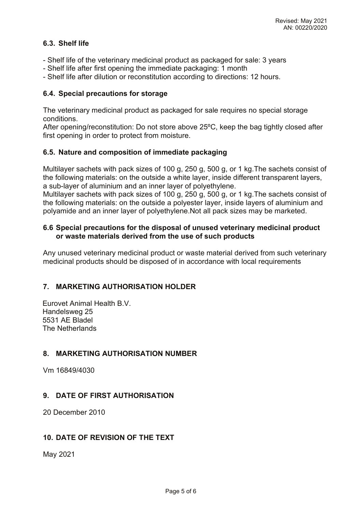# **6.3. Shelf life**

- Shelf life of the veterinary medicinal product as packaged for sale: 3 years
- Shelf life after first opening the immediate packaging: 1 month
- Shelf life after dilution or reconstitution according to directions: 12 hours.

# **6.4. Special precautions for storage**

The veterinary medicinal product as packaged for sale requires no special storage conditions.

After opening/reconstitution: Do not store above 25ºC, keep the bag tightly closed after first opening in order to protect from moisture.

#### **6.5. Nature and composition of immediate packaging**

Multilayer sachets with pack sizes of 100 g, 250 g, 500 g, or 1 kg.The sachets consist of the following materials: on the outside a white layer, inside different transparent layers, a sub-layer of aluminium and an inner layer of polyethylene.

Multilayer sachets with pack sizes of 100 g, 250 g, 500 g, or 1 kg.The sachets consist of the following materials: on the outside a polyester layer, inside layers of aluminium and polyamide and an inner layer of polyethylene.Not all pack sizes may be marketed.

# **6.6 Special precautions for the disposal of unused veterinary medicinal product or waste materials derived from the use of such products**

Any unused veterinary medicinal product or waste material derived from such veterinary medicinal products should be disposed of in accordance with local requirements

# **7. MARKETING AUTHORISATION HOLDER**

Eurovet Animal Health B.V. Handelsweg 25 5531 AE Bladel The Netherlands

# **8. MARKETING AUTHORISATION NUMBER**

Vm 16849/4030

# **9. DATE OF FIRST AUTHORISATION**

20 December 2010

# **10. DATE OF REVISION OF THE TEXT**

May 2021